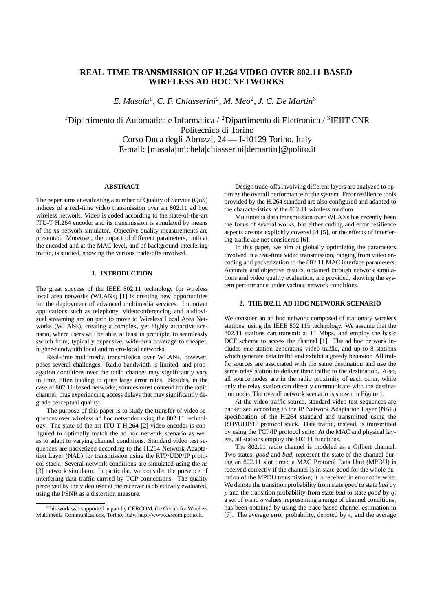# **REAL-TIME TRANSMISSION OF H.264 VIDEO OVER 802.11-BASED WIRELESS AD HOC NETWORKS**

*E. Masala*<sup>1</sup> *, C. F. Chiasserini*<sup>2</sup> *, M. Meo*<sup>2</sup> *, J. C. De Martin*<sup>3</sup>

<sup>1</sup>Dipartimento di Automatica e Informatica / <sup>2</sup>Dipartimento di Elettronica / <sup>3</sup>IEIIT-CNR Politecnico di Torino Corso Duca degli Abruzzi, 24 — I-10129 Torino, Italy E-mail: [masala|michela|chiasserini|demartin]@polito.it

#### **ABSTRACT**

The paper aims at evaluating a number of Quality of Service (QoS) indices of a real-time video transmission over an 802.11 ad hoc wireless network. Video is coded according to the state-of-the-art ITU-T H.264 encoder and its transmission is simulated by means of the *ns* network simulator. Objective quality measurements are presented. Moreover, the impact of different parameters, both at the encoded and at the MAC level, and of background interfering traffic, is studied, showing the various trade-offs involved.

## **1. INTRODUCTION**

The great success of the IEEE 802.11 technology for wireless local area networks (WLANs) [1] is creating new opportunities for the deployment of advanced multimedia services. Important applications such as telephony, videoconferencing and audiovisual streaming are on path to move to Wireless Local Area Networks (WLANs), creating a complex, yet highly attractive scenario, where users will be able, at least in principle, to seamlessly switch from, typically expensive, wide-area coverage to cheaper, higher-bandwidth local and micro-local networks.

Real-time multimedia transmission over WLANs, however, poses several challenges. Radio bandwidth is limited, and propagation conditions over the radio channel may significantly vary in time, often leading to quite large error rates. Besides, in the case of 802.11-based networks, sources must contend for the radio channel, thus experiencing access delays that may significantly degrade perceptual quality.

The purpose of this paper is to study the transfer of video sequences over wireless ad hoc networks using the 802.11 technology. The state-of-the-art ITU-T H.264 [2] video encoder is configured to optimally match the ad hoc network scenario as well as to adapt to varying channel conditions. Standard video test sequences are packetized according to the H.264 Network Adaptation Layer (NAL) for transmission using the RTP/UDP/IP protocol stack. Several network conditions are simulated using the *ns* [3] network simulator. In particular, we consider the presence of interfering data traffic carried by TCP connections. The quality perceived by the video user at the receiver is objectively evaluated, using the PSNR as a distortion measure.

Design trade-offs involving different layers are analyzed to optimize the overall performance of the system. Error resilience tools provided by the H.264 standard are also configured and adapted to the characteristics of the 802.11 wireless medium.

Multimedia data transmission over WLANs has recently been the focus of several works, but either coding and error resilience aspects are not explicitly covered [4][5], or the effects of interfering traffic are not considered [6].

In this paper, we aim at globally optimizing the parameters involved in a real-time video transmission, ranging from video encoding and packetization to the 802.11 MAC interface parameters. Accurate and objective results, obtained through network simulations and video quality evaluation, are provided, showing the system performance under various network conditions.

#### **2. THE 802.11 AD HOC NETWORK SCENARIO**

We consider an ad hoc network composed of stationary wireless stations, using the IEEE 802.11b technology. We assume that the 802.11 stations can transmit at 11 Mbps, and employ the basic DCF scheme to access the channel [1]. The ad hoc network includes one station generating video traffic, and up to 8 stations which generate data traffic and exhibit a greedy behavior. All traffic sources are associated with the same destination and use the same relay station to deliver their traffic to the destination. Also, all source nodes are in the radio proximity of each other, while only the relay station can directly communicate with the destination node. The overall network scenario is shown in Figure 1.

At the video traffic source, standard video test sequences are packetized according to the IP Network Adaptation Layer (NAL) specification of the H.264 standard and transmitted using the RTP/UDP/IP protocol stack. Data traffic, instead, is transmitted by using the TCP/IP protocol suite. At the MAC and physical layers, all stations employ the 802.11 functions.

The 802.11 radio channel is modeled as a Gilbert channel. Two states, *good* and *bad*, represent the state of the channel during an 802.11 slot time: a MAC Protocol Data Unit (MPDU) is received correctly if the channel is in state good for the whole duration of the MPDU transmission; it is received in error otherwise. We denote the transition probability from state *good* to state *bad* by p and the transition probability from state *bad* to state *good* by q; a set of  $p$  and  $q$  values, representing a range of channel conditions, has been obtained by using the trace-based channel estimation in [7]. The average error probability, denoted by  $\epsilon$ , and the average

This work was supported in part by CERCOM, the Center for Wireless Multimedia Communications, Torino, Italy, http://www.cercom.polito.it.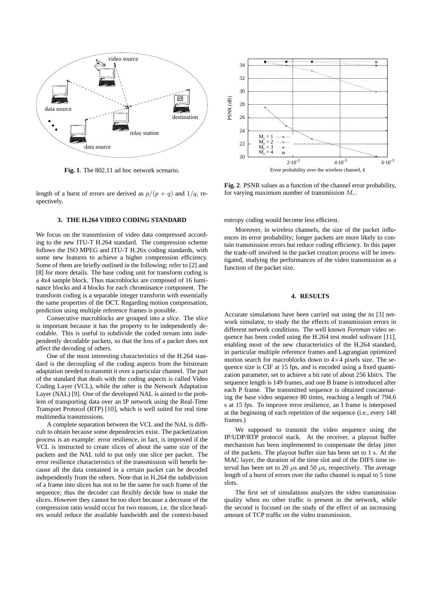

**Fig. 1**. The 802.11 ad hoc network scenario.

length of a burst of errors are derived as  $p/(p + q)$  and  $1/q$ , respectively.

## **3. THE H.264 VIDEO CODING STANDARD**

We focus on the transmission of video data compressed according to the new ITU-T H.264 standard. The compression scheme follows the ISO MPEG and ITU-T H.26x coding standards, with some new features to achieve a higher compression efficiency. Some of them are briefly outlined in the following; refer to [2] and [8] for more details. The base coding unit for transform coding is a 4x4 sample block. Thus macroblocks are composed of 16 luminance blocks and 4 blocks for each chrominance component. The transform coding is a separable integer transform with essentially the same properties of the DCT. Regarding motion compensation, prediction using multiple reference frames is possible.

Consecutive macroblocks are grouped into a *slice*. The *slice* is important because it has the property to be independently decodable. This is useful to subdivide the coded stream into independently decodable packets, so that the loss of a packet does not affect the decoding of others.

One of the most interesting characteristics of the H.264 standard is the decoupling of the coding aspects from the bitstream adaptation needed to transmit it over a particular channel. The part of the standard that deals with the coding aspects is called Video Coding Layer (VCL), while the other is the Network Adaptation Layer (NAL) [9]. One of the developed NAL is aimed to the problem of transporting data over an IP network using the Real-Time Transport Protocol (RTP) [10], which is well suited for real time multimedia transmissions.

A complete separation between the VCL and the NAL is difficult to obtain because some dependencies exist. The packetization process is an example: error resilience, in fact, is improved if the VCL is instructed to create slices of about the same size of the packets and the NAL told to put only one slice per packet. The error resilience characteristics of the transmission will benefit because all the data contained in a certain packet can be decoded independently from the others. Note that in H.264 the subdivision of a frame into slices has not to be the same for each frame of the sequence; thus the decoder can flexibly decide how to make the slices. However they cannot be too short because a decrease of the compression ratio would occur for two reasons, i.e. the slice headers would reduce the available bandwidth and the context-based



**Fig. 2**. PSNR values as a function of the channel error probability, for varying maximum number of transmission  $M_r$ .

entropy coding would become less efficient.

Moreover, in wireless channels, the size of the packet influences its error probability; longer packets are more likely to contain transmission errors but reduce coding efficiency. In this paper the trade-off involved in the packet creation process will be investigated, studying the performances of the video transmission as a function of the packet size.

### **4. RESULTS**

Accurate simulations have been carried out using the *ns* [3] network simulator, to study the the effects of transmission errors in different network conditions. The well known *Foreman* video sequence has been coded using the H.264 test model software [11], enabling most of the new characteristics of the H.264 standard, in particular multiple reference frames and Lagrangian optimized motion search for macroblocks down to  $4 \times 4$  pixels size. The sequence size is CIF at 15 fps, and is encoded using a fixed quantization parameter, set to achieve a bit rate of about 256 kbit/s. The sequence length is 149 frames, and one B frame is introduced after each P frame. The transmitted sequence is obtained concatenating the base video sequence 80 times, reaching a length of 794.6 s at 15 fps. To improve error resilience, an I frame is interposed at the beginning of each repetition of the sequence (i.e., every 148 frames.)

We supposed to transmit the video sequence using the IP/UDP/RTP protocol stack. At the receiver, a playout buffer mechanism has been implemented to compensate the delay jitter of the packets. The playout buffer size has been set to 1 s. At the MAC layer, the duration of the time slot and of the DIFS time interval has been set to 20  $\mu$ s and 50  $\mu$ s, respectively. The average length of a burst of errors over the radio channel is equal to 5 time slots.

The first set of simulations analyzes the video transmission quality when no other traffic is present in the network, while the second is focused on the study of the effect of an increasing amount of TCP traffic on the video transmission.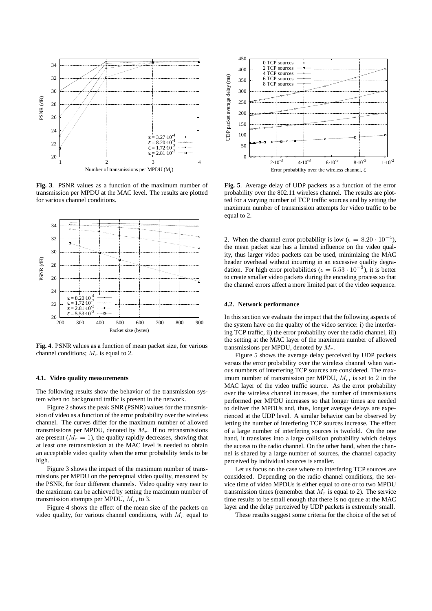

**Fig. 3**. PSNR values as a function of the maximum number of transmission per MPDU at the MAC level. The results are plotted for various channel conditions.



**Fig. 4**. PSNR values as a function of mean packet size, for various channel conditions;  $M_r$  is equal to 2.

#### **4.1. Video quality measurements**

The following results show the behavior of the transmission system when no background traffic is present in the network.

Figure 2 shows the peak SNR (PSNR) values for the transmission of video as a function of the error probability over the wireless channel. The curves differ for the maximum number of allowed transmissions per MPDU, denoted by  $M_r$ . If no retransmissions are present  $(M_r = 1)$ , the quality rapidly decreases, showing that at least one retransmission at the MAC level is needed to obtain an acceptable video quality when the error probability tends to be high.

Figure 3 shows the impact of the maximum number of transmissions per MPDU on the perceptual video quality, measured by the PSNR, for four different channels. Video quality very near to the maximum can be achieved by setting the maximum number of transmission attempts per MPDU,  $M_r$ , to 3.

Figure 4 shows the effect of the mean size of the packets on video quality, for various channel conditions, with  $M_r$  equal to



**Fig. 5**. Average delay of UDP packets as a function of the error probability over the 802.11 wireless channel. The results are plotted for a varying number of TCP traffic sources and by setting the maximum number of transmission attempts for video traffic to be equal to 2.

2. When the channel error probability is low ( $\epsilon = 8.20 \cdot 10^{-4}$ ), the mean packet size has a limited influence on the video quality, thus larger video packets can be used, minimizing the MAC header overhead without incurring in an excessive quality degradation. For high error probabilities ( $\epsilon = 5.53 \cdot 10^{-3}$ ), it is better to create smaller video packets during the encoding process so that the channel errors affect a more limited part of the video sequence.

#### **4.2. Network performance**

In this section we evaluate the impact that the following aspects of the system have on the quality of the video service: i) the interfering TCP traffic, ii) the error probability over the radio channel, iii) the setting at the MAC layer of the maximum number of allowed transmissions per MPDU, denoted by  $M_r$ .

Figure 5 shows the average delay perceived by UDP packets versus the error probability over the wireless channel when various numbers of interfering TCP sources are considered. The maximum number of transmission per MPDU,  $M_r$ , is set to 2 in the MAC layer of the video traffic source. As the error probability over the wireless channel increases, the number of transmissions performed per MPDU increases so that longer times are needed to deliver the MPDUs and, thus, longer average delays are experienced at the UDP level. A similar behavior can be observed by letting the number of interfering TCP sources increase. The effect of a large number of interfering sources is twofold. On the one hand, it translates into a large collision probability which delays the access to the radio channel. On the other hand, when the channel is shared by a large number of sources, the channel capacity perceived by individual sources is smaller.

Let us focus on the case where no interfering TCP sources are considered. Depending on the radio channel conditions, the service time of video MPDUs is either equal to one or to two MPDU transmission times (remember that  $M_r$  is equal to 2). The service time results to be small enough that there is no queue at the MAC layer and the delay perceived by UDP packets is extremely small.

These results suggest some criteria for the choice of the set of